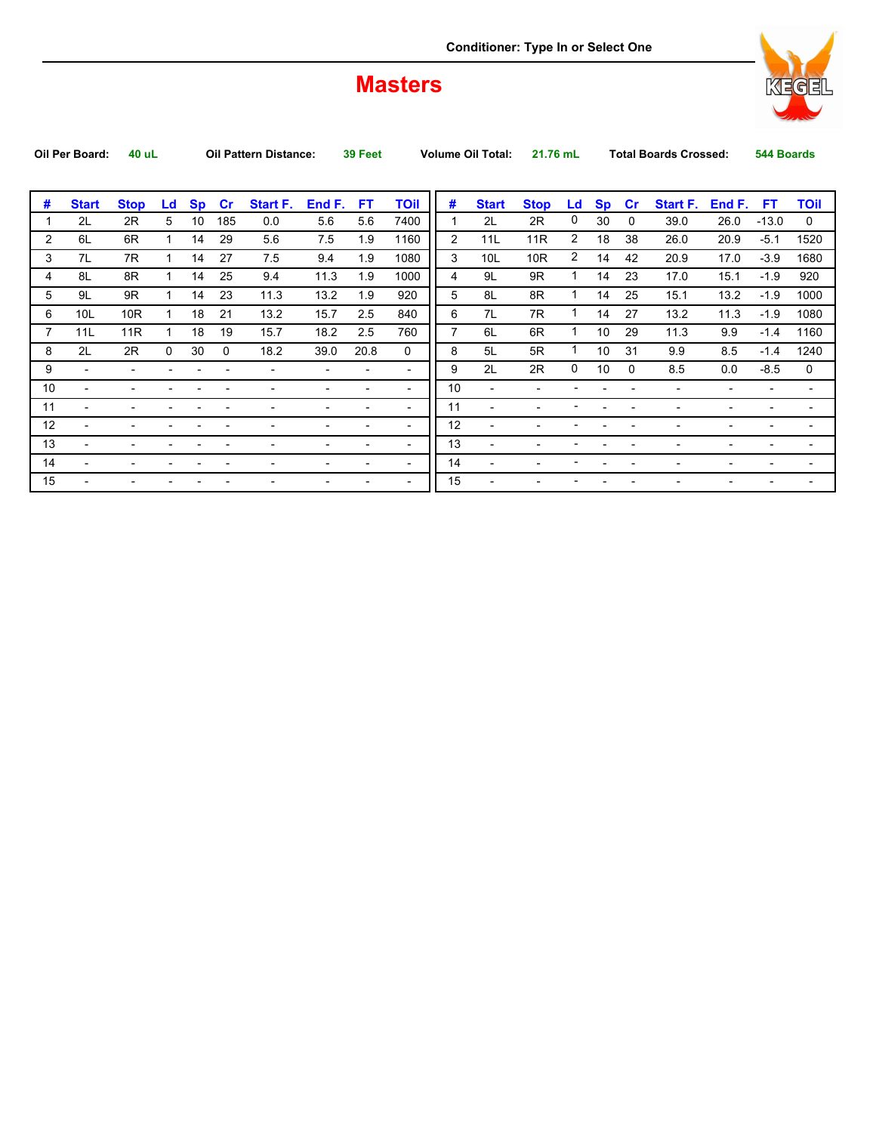## **Masters**



| #<br><b>TOil</b><br>#<br>Start F.<br>End F.<br><b>Sp</b><br>Start F.<br>End F.<br><b>Stop</b><br>Ld<br><b>Sp</b><br><b>FT</b><br><b>Start</b><br><b>Stop</b><br>cr<br>FT.<br><b>Start</b><br>cr<br>Ld<br>2L<br>0<br>5<br>7400<br>2R<br>30<br>2L<br>2R<br>10<br>5.6<br>185<br>0.0<br>5.6<br>39.0<br>26.0<br>$-13.0$<br>$\mathbf{0}$<br>$\overline{2}$<br>2<br>$\overline{2}$<br>6R<br>29<br>7.5<br>1160<br>11R<br>18<br>38<br>6L<br>14<br>5.6<br>1.9<br>11L<br>20.9<br>$-5.1$<br>26.0<br>2<br>3<br>1080<br>10R<br>3<br>7L<br>7R<br>27<br>7.5<br>9.4<br>1.9<br>10 <sub>L</sub><br>$-3.9$<br>14<br>14<br>42<br>20.9<br>17.0<br>25<br>11.3<br>1000<br>4<br>9L<br>9R<br>$\mathbf 1$<br>8L<br>8R<br>9.4<br>1.9<br>14<br>23<br>15.1<br>$-1.9$<br>14<br>17.0<br>1<br>4<br>5<br>23<br>920<br>8L<br>8R<br>1<br>5<br>9L<br>9R<br>14<br>11.3<br>13.2<br>1.9<br>14<br>25<br>13.2<br>$-1.9$<br>$\mathbf{1}$<br>15.1<br>6<br>7R<br>1<br>10R<br>18<br>21<br>13.2<br>2.5<br>840<br>7L<br>27<br>$-1.9$<br>6<br>10 <sub>L</sub><br>15.7<br>14<br>13.2<br>11.3<br>$\overline{7}$<br>760<br>6L<br>1<br>11R<br>18<br>19<br>15.7<br>18.2<br>2.5<br>6R<br>10<br>29<br>7<br>11L<br>11.3<br>9.9<br>$-1.4$<br>1<br>8<br>$\mathbf 1$<br>2L<br>2R<br>$\mathbf{0}$<br>30<br>20.8<br>$\mathbf{0}$<br>5L<br>5R<br>10<br>31<br>9.9<br>8<br>18.2<br>39.0<br>8.5<br>$-1.4$<br>$\Omega$<br>0<br>2L<br>9<br>2R<br>10<br>8.5<br>9<br>0.0<br>$-8.5$<br>$\Omega$<br>$\overline{\phantom{a}}$<br>$\overline{\phantom{a}}$<br>$\overline{\phantom{0}}$<br>10<br>10 <sup>1</sup><br>$\overline{\phantom{a}}$<br>$\overline{\phantom{a}}$<br>$\overline{\phantom{a}}$<br>11<br>11<br>$\overline{\phantom{a}}$<br>$\overline{\phantom{0}}$<br>-<br>12<br>12<br>$\overline{\phantom{a}}$<br>$\overline{\phantom{0}}$<br>$\overline{\phantom{0}}$<br>13<br>13<br>$\overline{\phantom{a}}$<br>٠<br>$\overline{\phantom{a}}$<br>14<br>14<br>$\overline{\phantom{a}}$<br>$\overline{\phantom{a}}$<br>٠<br>15<br>15<br>$\overline{\phantom{a}}$ | Oil Per Board: | 40 uL |  | <b>Oil Pattern Distance:</b> | 39 Feet |  | <b>Volume Oil Total:</b> | 21.76 mL |  | <b>Total Boards Crossed:</b> | 544 Boards |                          |
|----------------------------------------------------------------------------------------------------------------------------------------------------------------------------------------------------------------------------------------------------------------------------------------------------------------------------------------------------------------------------------------------------------------------------------------------------------------------------------------------------------------------------------------------------------------------------------------------------------------------------------------------------------------------------------------------------------------------------------------------------------------------------------------------------------------------------------------------------------------------------------------------------------------------------------------------------------------------------------------------------------------------------------------------------------------------------------------------------------------------------------------------------------------------------------------------------------------------------------------------------------------------------------------------------------------------------------------------------------------------------------------------------------------------------------------------------------------------------------------------------------------------------------------------------------------------------------------------------------------------------------------------------------------------------------------------------------------------------------------------------------------------------------------------------------------------------------------------------------------------------------------------------------------------------------------------------------------------------------------------|----------------|-------|--|------------------------------|---------|--|--------------------------|----------|--|------------------------------|------------|--------------------------|
|                                                                                                                                                                                                                                                                                                                                                                                                                                                                                                                                                                                                                                                                                                                                                                                                                                                                                                                                                                                                                                                                                                                                                                                                                                                                                                                                                                                                                                                                                                                                                                                                                                                                                                                                                                                                                                                                                                                                                                                              |                |       |  |                              |         |  |                          |          |  |                              |            |                          |
|                                                                                                                                                                                                                                                                                                                                                                                                                                                                                                                                                                                                                                                                                                                                                                                                                                                                                                                                                                                                                                                                                                                                                                                                                                                                                                                                                                                                                                                                                                                                                                                                                                                                                                                                                                                                                                                                                                                                                                                              |                |       |  |                              |         |  |                          |          |  |                              |            | <b>TOil</b>              |
|                                                                                                                                                                                                                                                                                                                                                                                                                                                                                                                                                                                                                                                                                                                                                                                                                                                                                                                                                                                                                                                                                                                                                                                                                                                                                                                                                                                                                                                                                                                                                                                                                                                                                                                                                                                                                                                                                                                                                                                              |                |       |  |                              |         |  |                          |          |  |                              |            | $\mathbf 0$              |
|                                                                                                                                                                                                                                                                                                                                                                                                                                                                                                                                                                                                                                                                                                                                                                                                                                                                                                                                                                                                                                                                                                                                                                                                                                                                                                                                                                                                                                                                                                                                                                                                                                                                                                                                                                                                                                                                                                                                                                                              |                |       |  |                              |         |  |                          |          |  |                              |            | 1520                     |
|                                                                                                                                                                                                                                                                                                                                                                                                                                                                                                                                                                                                                                                                                                                                                                                                                                                                                                                                                                                                                                                                                                                                                                                                                                                                                                                                                                                                                                                                                                                                                                                                                                                                                                                                                                                                                                                                                                                                                                                              |                |       |  |                              |         |  |                          |          |  |                              |            | 1680                     |
|                                                                                                                                                                                                                                                                                                                                                                                                                                                                                                                                                                                                                                                                                                                                                                                                                                                                                                                                                                                                                                                                                                                                                                                                                                                                                                                                                                                                                                                                                                                                                                                                                                                                                                                                                                                                                                                                                                                                                                                              |                |       |  |                              |         |  |                          |          |  |                              |            | 920                      |
|                                                                                                                                                                                                                                                                                                                                                                                                                                                                                                                                                                                                                                                                                                                                                                                                                                                                                                                                                                                                                                                                                                                                                                                                                                                                                                                                                                                                                                                                                                                                                                                                                                                                                                                                                                                                                                                                                                                                                                                              |                |       |  |                              |         |  |                          |          |  |                              |            | 1000                     |
|                                                                                                                                                                                                                                                                                                                                                                                                                                                                                                                                                                                                                                                                                                                                                                                                                                                                                                                                                                                                                                                                                                                                                                                                                                                                                                                                                                                                                                                                                                                                                                                                                                                                                                                                                                                                                                                                                                                                                                                              |                |       |  |                              |         |  |                          |          |  |                              |            | 1080                     |
|                                                                                                                                                                                                                                                                                                                                                                                                                                                                                                                                                                                                                                                                                                                                                                                                                                                                                                                                                                                                                                                                                                                                                                                                                                                                                                                                                                                                                                                                                                                                                                                                                                                                                                                                                                                                                                                                                                                                                                                              |                |       |  |                              |         |  |                          |          |  |                              |            | 1160                     |
|                                                                                                                                                                                                                                                                                                                                                                                                                                                                                                                                                                                                                                                                                                                                                                                                                                                                                                                                                                                                                                                                                                                                                                                                                                                                                                                                                                                                                                                                                                                                                                                                                                                                                                                                                                                                                                                                                                                                                                                              |                |       |  |                              |         |  |                          |          |  |                              |            | 1240                     |
|                                                                                                                                                                                                                                                                                                                                                                                                                                                                                                                                                                                                                                                                                                                                                                                                                                                                                                                                                                                                                                                                                                                                                                                                                                                                                                                                                                                                                                                                                                                                                                                                                                                                                                                                                                                                                                                                                                                                                                                              |                |       |  |                              |         |  |                          |          |  |                              |            | 0                        |
|                                                                                                                                                                                                                                                                                                                                                                                                                                                                                                                                                                                                                                                                                                                                                                                                                                                                                                                                                                                                                                                                                                                                                                                                                                                                                                                                                                                                                                                                                                                                                                                                                                                                                                                                                                                                                                                                                                                                                                                              |                |       |  |                              |         |  |                          |          |  |                              |            | $\overline{\phantom{a}}$ |
|                                                                                                                                                                                                                                                                                                                                                                                                                                                                                                                                                                                                                                                                                                                                                                                                                                                                                                                                                                                                                                                                                                                                                                                                                                                                                                                                                                                                                                                                                                                                                                                                                                                                                                                                                                                                                                                                                                                                                                                              |                |       |  |                              |         |  |                          |          |  |                              |            | $\overline{\phantom{0}}$ |
|                                                                                                                                                                                                                                                                                                                                                                                                                                                                                                                                                                                                                                                                                                                                                                                                                                                                                                                                                                                                                                                                                                                                                                                                                                                                                                                                                                                                                                                                                                                                                                                                                                                                                                                                                                                                                                                                                                                                                                                              |                |       |  |                              |         |  |                          |          |  |                              |            | $\overline{\phantom{a}}$ |
|                                                                                                                                                                                                                                                                                                                                                                                                                                                                                                                                                                                                                                                                                                                                                                                                                                                                                                                                                                                                                                                                                                                                                                                                                                                                                                                                                                                                                                                                                                                                                                                                                                                                                                                                                                                                                                                                                                                                                                                              |                |       |  |                              |         |  |                          |          |  |                              |            | $\overline{\phantom{a}}$ |
|                                                                                                                                                                                                                                                                                                                                                                                                                                                                                                                                                                                                                                                                                                                                                                                                                                                                                                                                                                                                                                                                                                                                                                                                                                                                                                                                                                                                                                                                                                                                                                                                                                                                                                                                                                                                                                                                                                                                                                                              |                |       |  |                              |         |  |                          |          |  |                              |            | $\overline{\phantom{a}}$ |
|                                                                                                                                                                                                                                                                                                                                                                                                                                                                                                                                                                                                                                                                                                                                                                                                                                                                                                                                                                                                                                                                                                                                                                                                                                                                                                                                                                                                                                                                                                                                                                                                                                                                                                                                                                                                                                                                                                                                                                                              |                |       |  |                              |         |  |                          |          |  |                              |            | $\overline{\phantom{0}}$ |